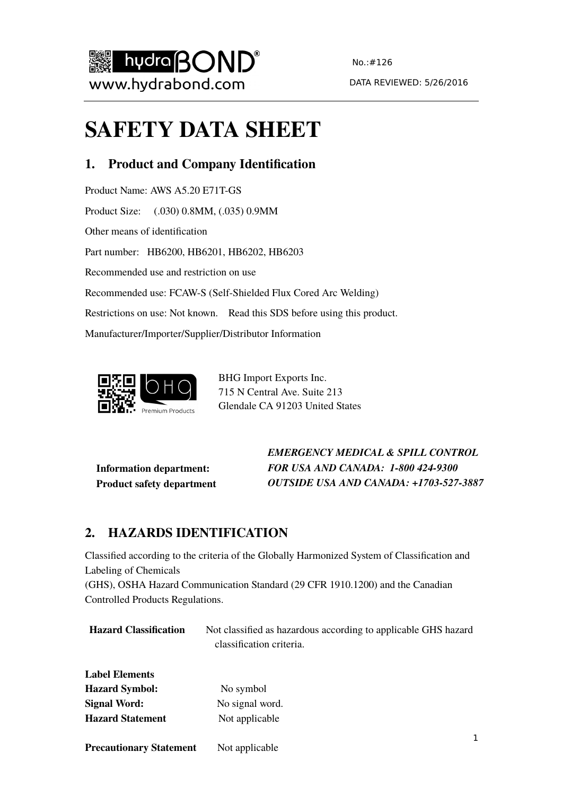

# **SAFETY DATA SHEET**

# **1. Product and Company Identification**

Product Name: AWS A5.20 E71T-GS Product Size: (.030) 0.8MM, (.035) 0.9MM Other means of identification Part number: HB6200, HB6201, HB6202, HB6203 Recommended use and restriction on use Recommended use: FCAW-S (Self-Shielded Flux Cored Arc Welding) Restrictions on use: Not known. Read this SDS before using this product. Manufacturer/Importer/Supplier/Distributor Information



BHG Import Exports Inc. 715 N Central Ave. Suite 213 Glendale CA 91203 United States

**Information department: Product safety department** *EMERGENCY MEDICAL & SPILL CONTROL FOR USA AND CANADA: 1-800 424-9300 OUTSIDE USA AND CANADA: +1703-527-3887*

# **2. HAZARDS IDENTIFICATION**

Classified according to the criteria of the Globally Harmonized System of Classification and Labeling of Chemicals

(GHS), OSHA Hazard Communication Standard (29 CFR 1910.1200) and the Canadian Controlled Products Regulations.

| <b>Hazard Classification</b> | Not classified as hazardous according to applicable GHS hazard |
|------------------------------|----------------------------------------------------------------|
|                              | classification criteria.                                       |
|                              |                                                                |
| <b>Label Elements</b>        |                                                                |

| <b>Hazard Symbol:</b>   | No symbol       |
|-------------------------|-----------------|
| <b>Signal Word:</b>     | No signal word. |
| <b>Hazard Statement</b> | Not applicable  |

 $\mathbf{1}$ **Precautionary Statement** Not applicable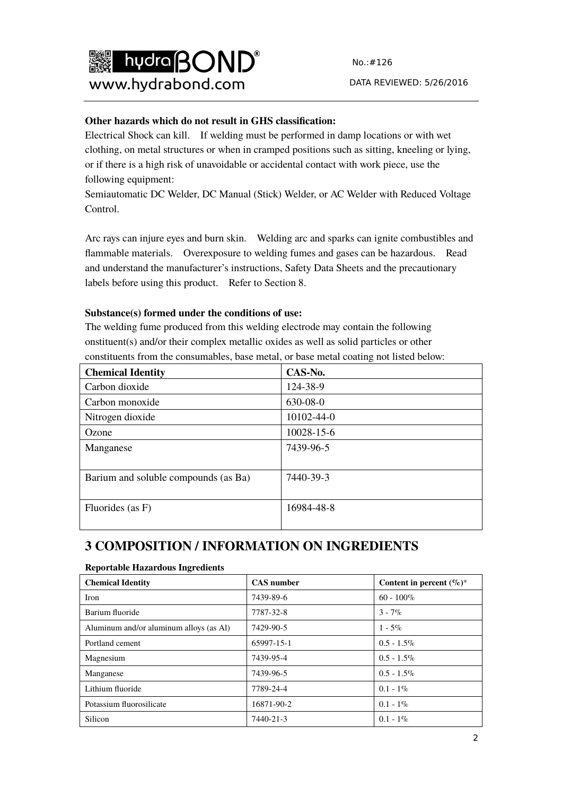

#### **Other hazards which do not result in GHS classification:**

Electrical Shock can kill. If welding must be performed in damp locations or with wet clothing, on metal structures or when in cramped positions such as sitting, kneeling or lying, or if there is a high risk of unavoidable or accidental contact with work piece, use the following equipment:

Semiautomatic DC Welder, DC Manual (Stick) Welder, or AC Welder with Reduced Voltage Control.

Arc rays can injure eyes and burn skin. Welding arc and sparks can ignite combustibles and flammable materials. Overexposure to welding fumes and gases can be hazardous. Read and understand the manufacturer's instructions, Safety Data Sheets and the precautionary labels before using this product. Refer to Section 8.

#### **Substance(s) formed under the conditions of use:**

The welding fume produced from this welding electrode may contain the following onstituent(s) and/or their complex metallic oxides as well as solid particles or other constituents from the consumables, base metal, or base metal coating not listed below:

| <b>Chemical Identity</b>             | CAS-No.    |
|--------------------------------------|------------|
| Carbon dioxide                       | 124-38-9   |
| Carbon monoxide                      | 630-08-0   |
| Nitrogen dioxide                     | 10102-44-0 |
| Ozone                                | 10028-15-6 |
| Manganese                            | 7439-96-5  |
| Barium and soluble compounds (as Ba) | 7440-39-3  |
| Fluorides (as F)                     | 16984-48-8 |

# **3 COMPOSITION / INFORMATION ON INGREDIENTS**

#### **Reportable Hazardous Ingredients**

| <b>Chemical Identity</b>                | <b>CAS</b> number | Content in percent $(\%)^*$ |
|-----------------------------------------|-------------------|-----------------------------|
| <b>Iron</b>                             | 7439-89-6         | $60 - 100\%$                |
| Barium fluoride                         | 7787-32-8         | $3 - 7\%$                   |
| Aluminum and/or aluminum alloys (as Al) | 7429-90-5         | $1 - 5\%$                   |
| Portland cement                         | 65997-15-1        | $0.5 - 1.5\%$               |
| Magnesium                               | 7439-95-4         | $0.5 - 1.5\%$               |
| Manganese                               | 7439-96-5         | $0.5 - 1.5\%$               |
| Lithium fluoride                        | 7789-24-4         | $0.1 - 1\%$                 |
| Potassium fluorosilicate                | 16871-90-2        | $0.1 - 1\%$                 |
| Silicon                                 | 7440-21-3         | $0.1 - 1\%$                 |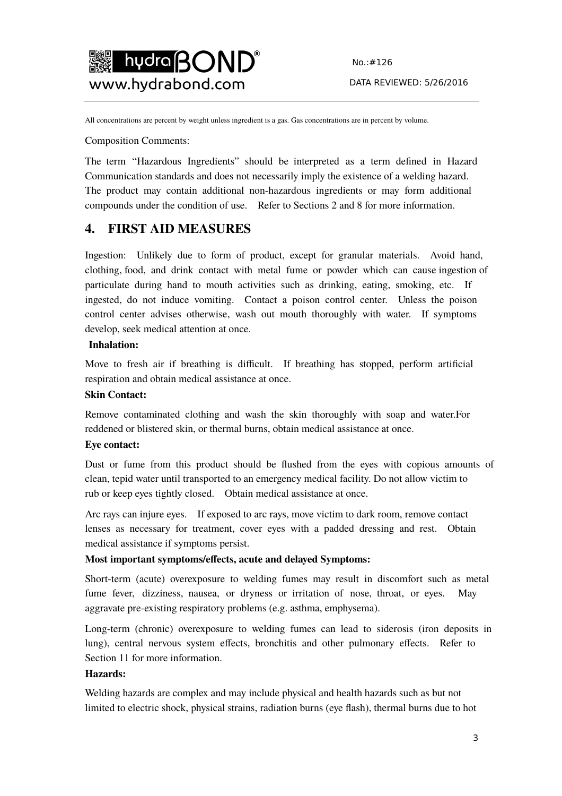

All concentrations are percent by weight unless ingredient is a gas. Gas concentrations are in percent by volume.

Composition Comments:

The term "Hazardous Ingredients" should be interpreted as a term defined in Hazard Communication standards and does not necessarily imply the existence of a welding hazard. The product may contain additional non-hazardous ingredients or may form additional compounds under the condition of use. Refer to Sections 2 and 8 for more information.

### **4. FIRST AID MEASURES**

Ingestion: Unlikely due to form of product, except for granular materials. Avoid hand, clothing, food, and drink contact with metal fume or powder which can cause ingestion of particulate during hand to mouth activities such as drinking, eating, smoking, etc. If ingested, do not induce vomiting. Contact a poison control center. Unless the poison control center advises otherwise, wash out mouth thoroughly with water. If symptoms develop, seek medical attention at once.

#### **Inhalation:**

Move to fresh air if breathing is difficult. If breathing has stopped, perform artificial respiration and obtain medical assistance at once.

#### **Skin Contact:**

Remove contaminated clothing and wash the skin thoroughly with soap and water.For reddened or blistered skin, or thermal burns, obtain medical assistance at once.

#### **Eye contact:**

Dust or fume from this product should be flushed from the eyes with copious amounts of clean, tepid water until transported to an emergency medical facility. Do not allow victim to rub or keep eyes tightly closed. Obtain medical assistance at once.

Arc rays can injure eyes. If exposed to arc rays, move victim to dark room, remove contact lenses as necessary for treatment, cover eyes with a padded dressing and rest. Obtain medical assistance if symptoms persist.

#### **Most important symptoms/effects, acute and delayed Symptoms:**

Short-term (acute) overexposure to welding fumes may result in discomfort such as metal fume fever, dizziness, nausea, or dryness or irritation of nose, throat, or eyes. May aggravate pre-existing respiratory problems (e.g. asthma, emphysema).

Long-term (chronic) overexposure to welding fumes can lead to siderosis (iron deposits in lung), central nervous system effects, bronchitis and other pulmonary effects. Refer to Section 11 for more information.

#### **Hazards:**

Welding hazards are complex and may include physical and health hazards such as but not limited to electric shock, physical strains, radiation burns (eye flash), thermal burns due to hot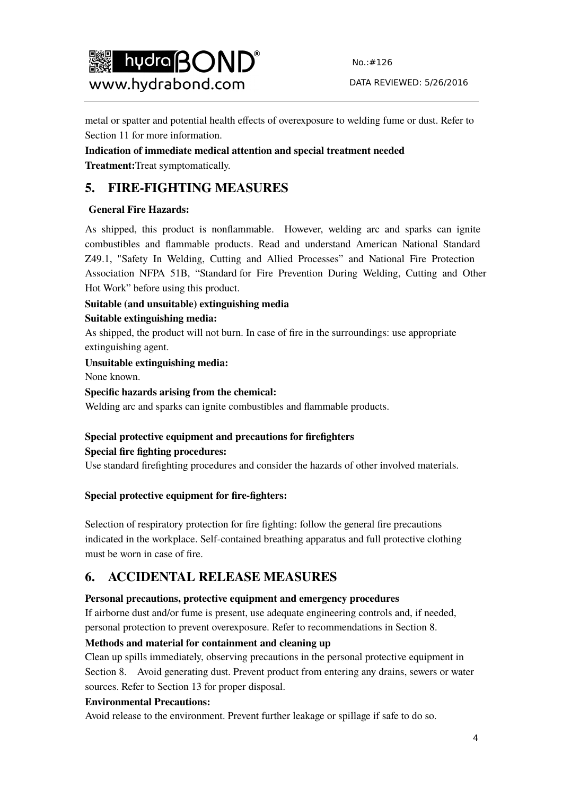

DATA REVIEWED: 5/26/2016

metal or spatter and potential health effects of overexposure to welding fume or dust. Refer to Section 11 for more information.

**Indication of immediate medical attention and special treatment needed Treatment:**Treat symptomatically.

# **5. FIRE-FIGHTING MEASURES**

### **General Fire Hazards:**

As shipped, this product is nonflammable. However, welding arc and sparks can ignite combustibles and flammable products. Read and understand American National Standard Z49.1, "Safety In Welding, Cutting and Allied Processes" and National Fire Protection Association NFPA 51B, "Standard for Fire Prevention During Welding, Cutting and Other Hot Work" before using this product.

# **Suitable (and unsuitable) extinguishing media**

### **Suitable extinguishing media:**

As shipped, the product will not burn. In case of fire in the surroundings: use appropriate extinguishing agent.

**Unsuitable extinguishing media:** 

None known.

### **Specific hazards arising from the chemical:**

Welding arc and sparks can ignite combustibles and flammable products.

### **Special protective equipment and precautions for firefighters Special fire fighting procedures:**

Use standard firefighting procedures and consider the hazards of other involved materials.

### **Special protective equipment for fire-fighters:**

Selection of respiratory protection for fire fighting: follow the general fire precautions indicated in the workplace. Self-contained breathing apparatus and full protective clothing must be worn in case of fire.

# **6. ACCIDENTAL RELEASE MEASURES**

### **Personal precautions, protective equipment and emergency procedures**

If airborne dust and/or fume is present, use adequate engineering controls and, if needed, personal protection to prevent overexposure. Refer to recommendations in Section 8.

### **Methods and material for containment and cleaning up**

Clean up spills immediately, observing precautions in the personal protective equipment in Section 8. Avoid generating dust. Prevent product from entering any drains, sewers or water sources. Refer to Section 13 for proper disposal.

### **Environmental Precautions:**

Avoid release to the environment. Prevent further leakage or spillage if safe to do so.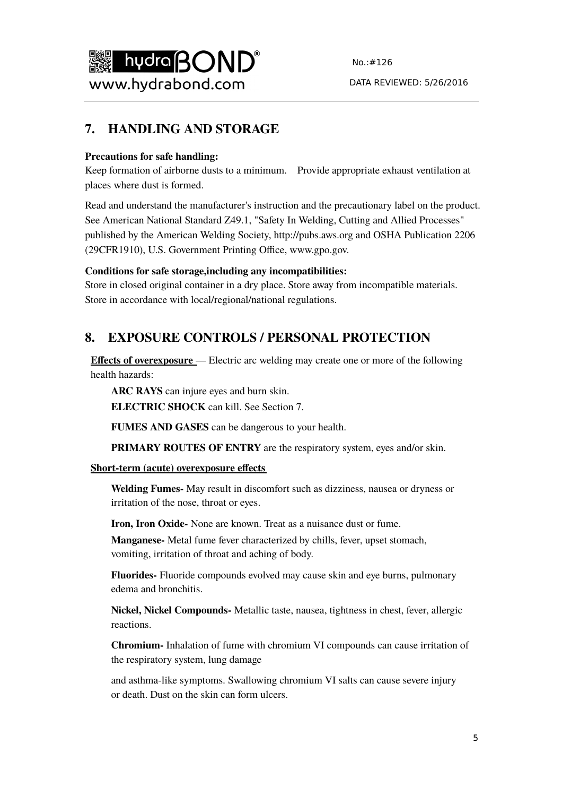

# **7. HANDLING AND STORAGE**

#### **Precautions for safe handling:**

Keep formation of airborne dusts to a minimum. Provide appropriate exhaust ventilation at places where dust is formed.

Read and understand the manufacturer's instruction and the precautionary label on the product. See American National Standard Z49.1, "Safety In Welding, Cutting and Allied Processes" published by the American Welding Society, http://pubs.aws.org and OSHA Publication 2206 (29CFR1910), U.S. Government Printing Office, www.gpo.gov.

#### **Conditions for safe storage,including any incompatibilities:**

Store in closed original container in a dry place. Store away from incompatible materials. Store in accordance with local/regional/national regulations.

# **8. EXPOSURE CONTROLS / PERSONAL PROTECTION**

**Effects of overexposure** — Electric arc welding may create one or more of the following health hazards:

**ARC RAYS** can injure eyes and burn skin.

**ELECTRIC SHOCK** can kill. See Section 7.

**FUMES AND GASES** can be dangerous to your health.

**PRIMARY ROUTES OF ENTRY** are the respiratory system, eyes and/or skin.

#### **Short-term (acute) overexposure effects**

**Welding Fumes-** May result in discomfort such as dizziness, nausea or dryness or irritation of the nose, throat or eyes.

**Iron, Iron Oxide-** None are known. Treat as a nuisance dust or fume.

**Manganese-** Metal fume fever characterized by chills, fever, upset stomach, vomiting, irritation of throat and aching of body.

**Fluorides-** Fluoride compounds evolved may cause skin and eye burns, pulmonary edema and bronchitis.

**Nickel, Nickel Compounds-** Metallic taste, nausea, tightness in chest, fever, allergic reactions.

**Chromium-** Inhalation of fume with chromium VI compounds can cause irritation of the respiratory system, lung damage

and asthma-like symptoms. Swallowing chromium VI salts can cause severe injury or death. Dust on the skin can form ulcers.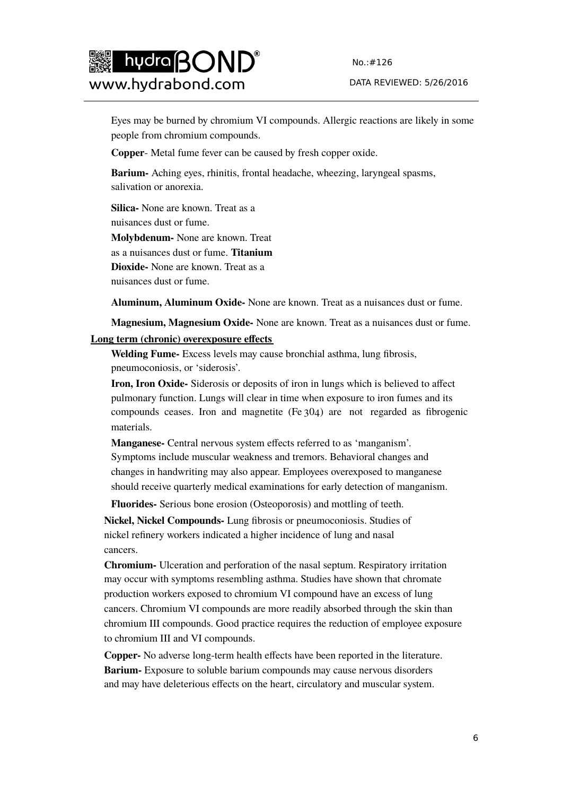

DATA REVIEWED: 5/26/2016

Eyes may be burned by chromium VI compounds. Allergic reactions are likely in some people from chromium compounds.

**Copper**- Metal fume fever can be caused by fresh copper oxide.

**Barium-** Aching eyes, rhinitis, frontal headache, wheezing, laryngeal spasms, salivation or anorexia.

**Silica-** None are known. Treat as a nuisances dust or fume. **Molybdenum-** None are known. Treat as a nuisances dust or fume. **Titanium Dioxide-** None are known. Treat as a

nuisances dust or fume.

**Aluminum, Aluminum Oxide-** None are known. Treat as a nuisances dust or fume.

**Magnesium, Magnesium Oxide-** None are known. Treat as a nuisances dust or fume.

#### **Long term (chronic) overexposure effects**

**Welding Fume-** Excess levels may cause bronchial asthma, lung fibrosis, pneumoconiosis, or 'siderosis'.

**Iron, Iron Oxide-** Siderosis or deposits of iron in lungs which is believed to affect pulmonary function. Lungs will clear in time when exposure to iron fumes and its compounds ceases. Iron and magnetite (Fe 304) are not regarded as fibrogenic materials.

**Manganese-** Central nervous system effects referred to as 'manganism'. Symptoms include muscular weakness and tremors. Behavioral changes and changes in handwriting may also appear. Employees overexposed to manganese should receive quarterly medical examinations for early detection of manganism.

**Fluorides-** Serious bone erosion (Osteoporosis) and mottling of teeth.

**Nickel, Nickel Compounds-** Lung fibrosis or pneumoconiosis. Studies of nickel refinery workers indicated a higher incidence of lung and nasal cancers.

**Chromium-** Ulceration and perforation of the nasal septum. Respiratory irritation may occur with symptoms resembling asthma. Studies have shown that chromate production workers exposed to chromium VI compound have an excess of lung cancers. Chromium VI compounds are more readily absorbed through the skin than chromium III compounds. Good practice requires the reduction of employee exposure to chromium III and VI compounds.

**Copper-** No adverse long-term health effects have been reported in the literature. **Barium-** Exposure to soluble barium compounds may cause nervous disorders and may have deleterious effects on the heart, circulatory and muscular system.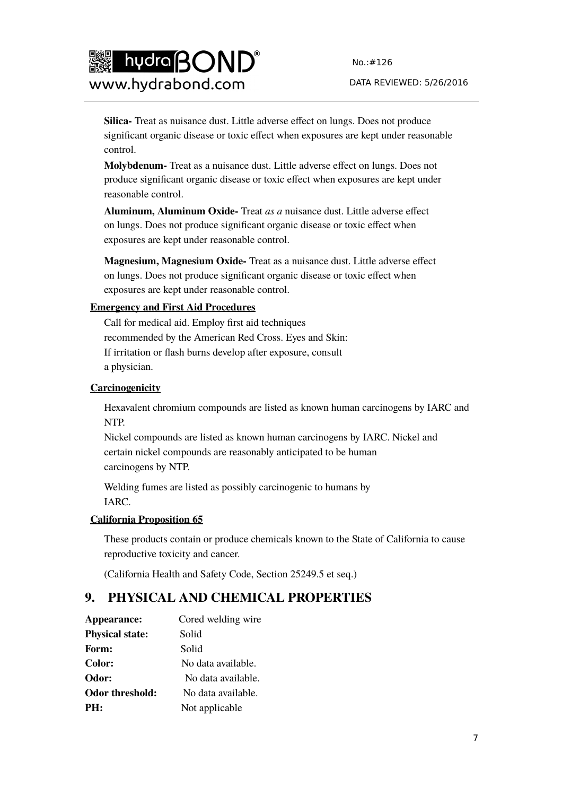

**Silica-** Treat as nuisance dust. Little adverse effect on lungs. Does not produce significant organic disease or toxic effect when exposures are kept under reasonable control.

**Molybdenum-** Treat as a nuisance dust. Little adverse effect on lungs. Does not produce significant organic disease or toxic effect when exposures are kept under reasonable control.

**Aluminum, Aluminum Oxide-** Treat *as a* nuisance dust. Little adverse effect on lungs. Does not produce significant organic disease or toxic effect when exposures are kept under reasonable control.

**Magnesium, Magnesium Oxide-** Treat as a nuisance dust. Little adverse effect on lungs. Does not produce significant organic disease or toxic effect when exposures are kept under reasonable control.

#### **Emergency and First Aid Procedures**

Call for medical aid. Employ first aid techniques recommended by the American Red Cross. Eyes and Skin: If irritation or flash burns develop after exposure, consult a physician.

#### **Carcinogenicity**

Hexavalent chromium compounds are listed as known human carcinogens by IARC and NTP.

Nickel compounds are listed as known human carcinogens by IARC. Nickel and certain nickel compounds are reasonably anticipated to be human carcinogens by NTP.

Welding fumes are listed as possibly carcinogenic to humans by IARC.

#### **California Proposition 65**

These products contain or produce chemicals known to the State of California to cause reproductive toxicity and cancer.

(California Health and Safety Code, Section 25249.5 et seq.)

# **9. PHYSICAL AND CHEMICAL PROPERTIES**

| Appearance:            | Cored welding wire |
|------------------------|--------------------|
| <b>Physical state:</b> | Solid              |
| Form:                  | Solid              |
| Color:                 | No data available. |
| Odor:                  | No data available. |
| <b>Odor threshold:</b> | No data available. |
| PH:                    | Not applicable     |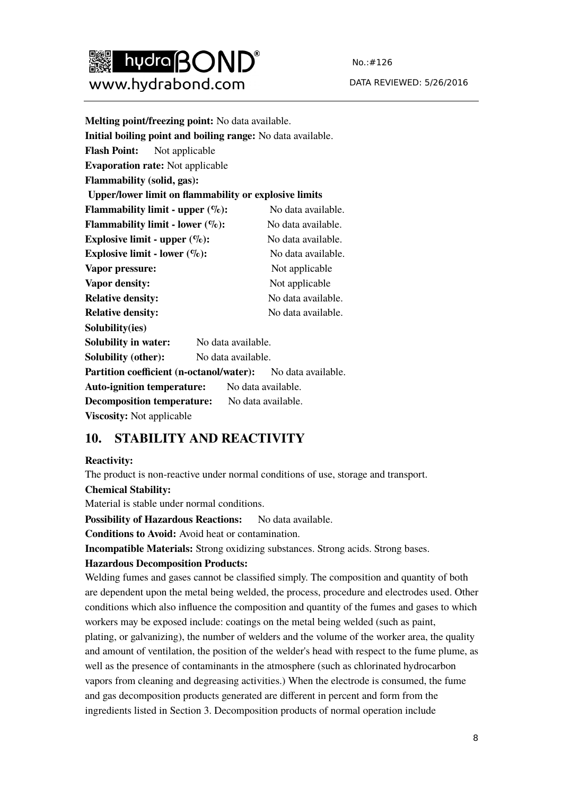

No.:#126 DATA REVIEWED: 5/26/2016

| Melting point/freezing point: No data available.                   |                    |  |
|--------------------------------------------------------------------|--------------------|--|
| Initial boiling point and boiling range: No data available.        |                    |  |
| <b>Flash Point:</b> Not applicable                                 |                    |  |
| <b>Evaporation rate:</b> Not applicable                            |                    |  |
| Flammability (solid, gas):                                         |                    |  |
| <b>Upper/lower limit on flammability or explosive limits</b>       |                    |  |
| <b>Flammability limit - upper <math>(\%):</math></b>               | No data available. |  |
| <b>Flammability limit - lower <math>(\%):</math></b>               | No data available. |  |
| Explosive limit - upper $(\%):$                                    | No data available. |  |
| Explosive limit - lower $(\%):$                                    | No data available. |  |
| Vapor pressure:                                                    | Not applicable     |  |
| Vapor density:                                                     | Not applicable     |  |
| <b>Relative density:</b>                                           | No data available. |  |
| <b>Relative density:</b>                                           | No data available. |  |
| Solubility(ies)                                                    |                    |  |
| <b>Solubility in water:</b>                                        | No data available. |  |
| <b>Solubility (other):</b>                                         | No data available. |  |
| <b>Partition coefficient (n-octanol/water):</b> No data available. |                    |  |
| <b>Auto-ignition temperature:</b> No data available.               |                    |  |
| <b>Decomposition temperature:</b> No data available.               |                    |  |
| <b>Viscosity:</b> Not applicable                                   |                    |  |

# **10. STABILITY AND REACTIVITY**

#### **Reactivity:**

The product is non-reactive under normal conditions of use, storage and transport.

#### **Chemical Stability:**

Material is stable under normal conditions.

**Possibility of Hazardous Reactions:** No data available.

**Conditions to Avoid:** Avoid heat or contamination.

**Incompatible Materials:** Strong oxidizing substances. Strong acids. Strong bases.

#### **Hazardous Decomposition Products:**

Welding fumes and gases cannot be classified simply. The composition and quantity of both are dependent upon the metal being welded, the process, procedure and electrodes used. Other conditions which also influence the composition and quantity of the fumes and gases to which workers may be exposed include: coatings on the metal being welded (such as paint, plating, or galvanizing), the number of welders and the volume of the worker area, the quality and amount of ventilation, the position of the welder's head with respect to the fume plume, as well as the presence of contaminants in the atmosphere (such as chlorinated hydrocarbon vapors from cleaning and degreasing activities.) When the electrode is consumed, the fume and gas decomposition products generated are different in percent and form from the ingredients listed in Section 3. Decomposition products of normal operation include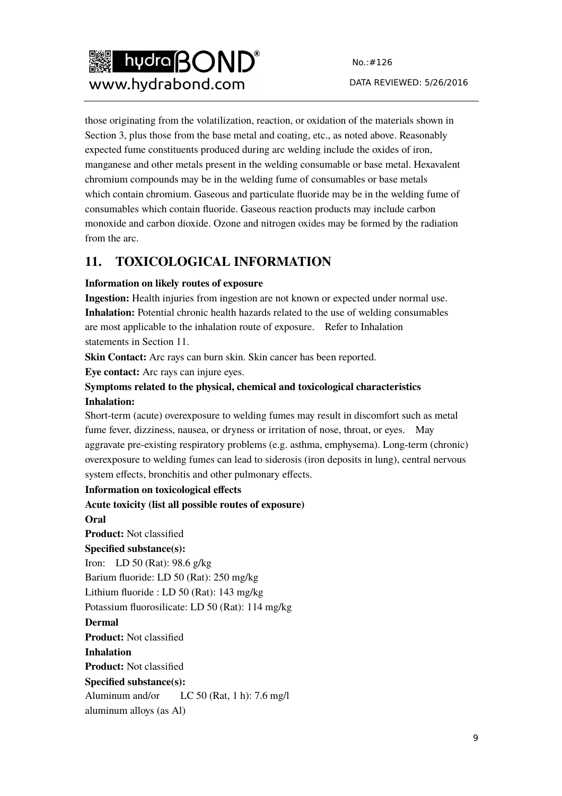

those originating from the volatilization, reaction, or oxidation of the materials shown in Section 3, plus those from the base metal and coating, etc., as noted above. Reasonably expected fume constituents produced during arc welding include the oxides of iron, manganese and other metals present in the welding consumable or base metal. Hexavalent chromium compounds may be in the welding fume of consumables or base metals which contain chromium. Gaseous and particulate fluoride may be in the welding fume of consumables which contain fluoride. Gaseous reaction products may include carbon monoxide and carbon dioxide. Ozone and nitrogen oxides may be formed by the radiation from the arc.

# **11. TOXICOLOGICAL INFORMATION**

### **Information on likely routes of exposure**

**Ingestion:** Health injuries from ingestion are not known or expected under normal use. **Inhalation:** Potential chronic health hazards related to the use of welding consumables are most applicable to the inhalation route of exposure. Refer to Inhalation statements in Section 11.

**Skin Contact:** Arc rays can burn skin. Skin cancer has been reported.

**Eye contact:** Arc rays can injure eyes.

### **Symptoms related to the physical, chemical and toxicological characteristics Inhalation:**

Short-term (acute) overexposure to welding fumes may result in discomfort such as metal fume fever, dizziness, nausea, or dryness or irritation of nose, throat, or eyes. May aggravate pre-existing respiratory problems (e.g. asthma, emphysema). Long-term (chronic) overexposure to welding fumes can lead to siderosis (iron deposits in lung), central nervous system effects, bronchitis and other pulmonary effects.

**Information on toxicological effects** 

**Acute toxicity (list all possible routes of exposure) Oral Product:** Not classified **Specified substance(s):**  Iron: LD 50 (Rat): 98.6 g/kg Barium fluoride: LD 50 (Rat): 250 mg/kg Lithium fluoride : LD 50 (Rat): 143 mg/kg Potassium fluorosilicate: LD 50 (Rat): 114 mg/kg **Dermal Product:** Not classified **Inhalation Product:** Not classified **Specified substance(s):**  Aluminum and/or LC 50 (Rat, 1 h): 7.6 mg/l aluminum alloys (as Al)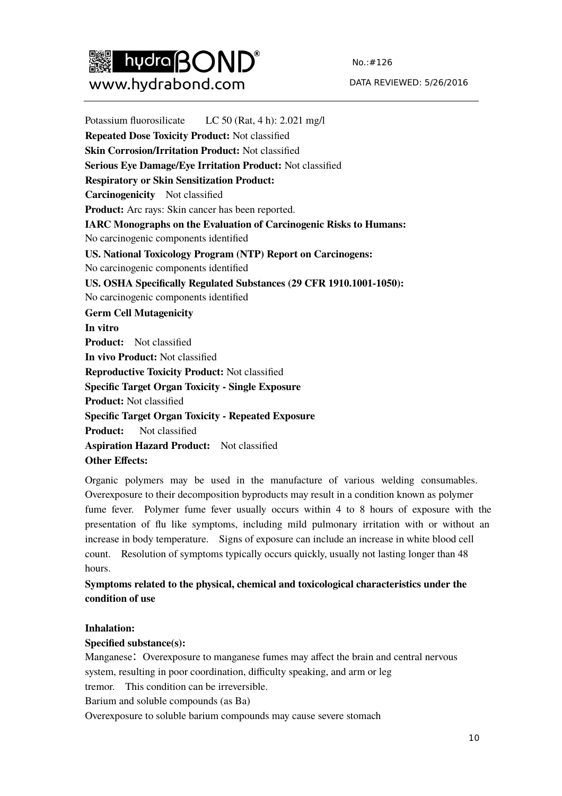

No.:#126

#### DATA REVIEWED: 5/26/2016

Potassium fluorosilicate LC 50 (Rat, 4 h): 2.021 mg/l **Repeated Dose Toxicity Product:** Not classified **Skin Corrosion/Irritation Product:** Not classified **Serious Eye Damage/Eye Irritation Product:** Not classified **Respiratory or Skin Sensitization Product: Carcinogenicity** Not classified **Product:** Arc rays: Skin cancer has been reported. **IARC Monographs on the Evaluation of Carcinogenic Risks to Humans:**  No carcinogenic components identified **US. National Toxicology Program (NTP) Report on Carcinogens:**  No carcinogenic components identified **US. OSHA Specifically Regulated Substances (29 CFR 1910.1001-1050):**  No carcinogenic components identified **Germ Cell Mutagenicity In vitro Product:** Not classified **In vivo Product:** Not classified **Reproductive Toxicity Product:** Not classified **Specific Target Organ Toxicity - Single Exposure Product:** Not classified **Specific Target Organ Toxicity - Repeated Exposure Product:** Not classified **Aspiration Hazard Product:** Not classified **Other Effects:** 

Organic polymers may be used in the manufacture of various welding consumables. Overexposure to their decomposition byproducts may result in a condition known as polymer fume fever. Polymer fume fever usually occurs within 4 to 8 hours of exposure with the presentation of flu like symptoms, including mild pulmonary irritation with or without an increase in body temperature. Signs of exposure can include an increase in white blood cell count. Resolution of symptoms typically occurs quickly, usually not lasting longer than 48 hours.

### **Symptoms related to the physical, chemical and toxicological characteristics under the condition of use**

#### **Inhalation:**

#### **Specified substance(s):**

Manganese: Overexposure to manganese fumes may affect the brain and central nervous system, resulting in poor coordination, difficulty speaking, and arm or leg tremor. This condition can be irreversible.

Barium and soluble compounds (as Ba)

Overexposure to soluble barium compounds may cause severe stomach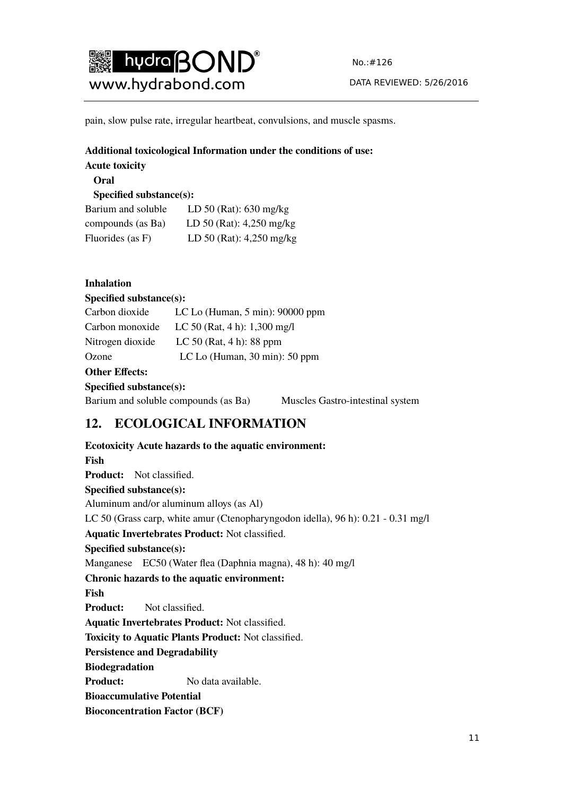

pain, slow pulse rate, irregular heartbeat, convulsions, and muscle spasms.

### **Additional toxicological Information under the conditions of use:**

**Acute toxicity** 

### **Oral**

#### **Specified substance(s):**

| Barium and soluble | LD 50 (Rat): $630$ mg/kg   |
|--------------------|----------------------------|
| compounds (as Ba)  | LD 50 (Rat): $4,250$ mg/kg |
| Fluorides (as F)   | LD 50 (Rat): 4,250 mg/kg   |

### **Inhalation**

#### **Specified substance(s):**

| Carbon dioxide   | LC Lo (Human, $5 \text{ min}$ ): 90000 ppm         |
|------------------|----------------------------------------------------|
| Carbon monoxide  | LC 50 (Rat, 4 h): $1,300$ mg/l                     |
| Nitrogen dioxide | LC 50 (Rat, $4 h$ ): 88 ppm                        |
| Ozone            | LC Lo (Human, $30 \text{ min}$ ): $50 \text{ ppm}$ |

#### **Other Effects:**

#### **Specified substance(s):**

Barium and soluble compounds (as Ba) Muscles Gastro-intestinal system

# **12. ECOLOGICAL INFORMATION**

**Ecotoxicity Acute hazards to the aquatic environment: Fish Product:** Not classified. **Specified substance(s):**  Aluminum and/or aluminum alloys (as Al) LC 50 (Grass carp, white amur (Ctenopharyngodon idella), 96 h): 0.21 - 0.31 mg/l **Aquatic Invertebrates Product:** Not classified. **Specified substance(s):**  Manganese EC50 (Water flea (Daphnia magna), 48 h): 40 mg/l **Chronic hazards to the aquatic environment: Fish Product:** Not classified. **Aquatic Invertebrates Product:** Not classified. **Toxicity to Aquatic Plants Product:** Not classified. **Persistence and Degradability Biodegradation Product:** No data available. **Bioaccumulative Potential Bioconcentration Factor (BCF)** 

# 11